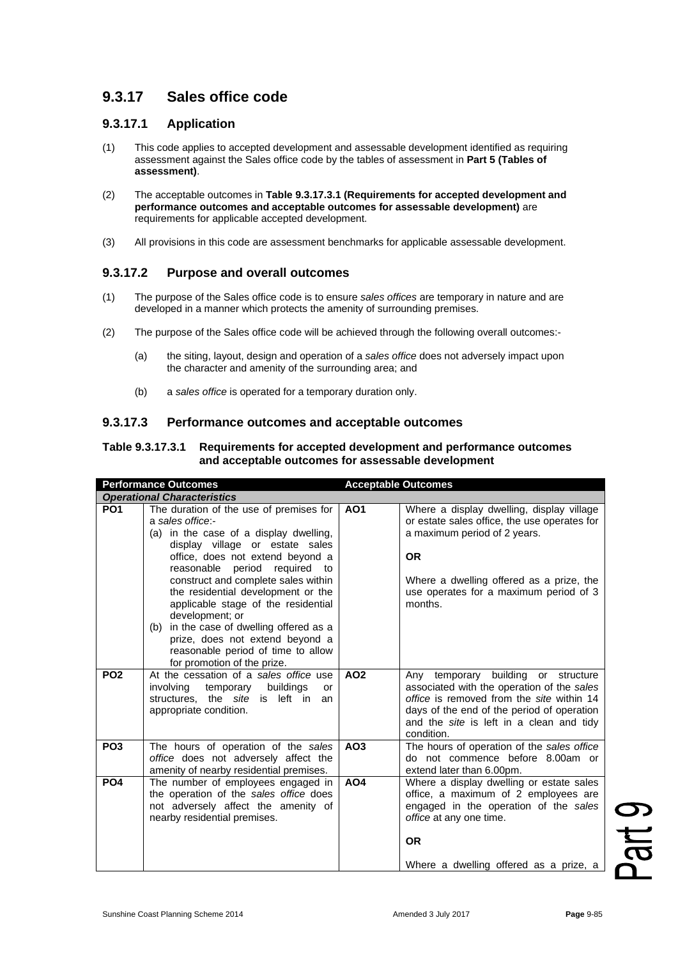# **9.3.17 Sales office code**

### **9.3.17.1 Application**

- (1) This code applies to accepted development and assessable development identified as requiring assessment against the Sales office code by the tables of assessment in **Part 5 (Tables of assessment)**.
- (2) The acceptable outcomes in **Table 9.3.17.3.1 (Requirements for accepted development and performance outcomes and acceptable outcomes for assessable development)** are requirements for applicable accepted development.
- (3) All provisions in this code are assessment benchmarks for applicable assessable development.

## **9.3.17.2 Purpose and overall outcomes**

- (1) The purpose of the Sales office code is to ensure *sales offices* are temporary in nature and are developed in a manner which protects the amenity of surrounding premises.
- (2) The purpose of the Sales office code will be achieved through the following overall outcomes:-
	- (a) the siting, layout, design and operation of a *sales office* does not adversely impact upon the character and amenity of the surrounding area; and
	- (b) a *sales office* is operated for a temporary duration only.

#### **9.3.17.3 Performance outcomes and acceptable outcomes**

#### **Table 9.3.17.3.1 Requirements for accepted development and performance outcomes and acceptable outcomes for assessable development**

| <b>Performance Outcomes</b> |                                                                                                                                                                                                                                                                                                                                                                                                                                                                                                                   | <b>Acceptable Outcomes</b> |                                                                                                                                                                                                                                           |
|-----------------------------|-------------------------------------------------------------------------------------------------------------------------------------------------------------------------------------------------------------------------------------------------------------------------------------------------------------------------------------------------------------------------------------------------------------------------------------------------------------------------------------------------------------------|----------------------------|-------------------------------------------------------------------------------------------------------------------------------------------------------------------------------------------------------------------------------------------|
|                             | <b>Operational Characteristics</b>                                                                                                                                                                                                                                                                                                                                                                                                                                                                                |                            |                                                                                                                                                                                                                                           |
| PO <sub>1</sub>             | The duration of the use of premises for<br>a sales office:-<br>(a) in the case of a display dwelling,<br>display village or estate sales<br>office, does not extend beyond a<br>period<br>reasonable<br>required<br>to<br>construct and complete sales within<br>the residential development or the<br>applicable stage of the residential<br>development; or<br>(b) in the case of dwelling offered as a<br>prize, does not extend beyond a<br>reasonable period of time to allow<br>for promotion of the prize. | <b>AO1</b>                 | Where a display dwelling, display village<br>or estate sales office, the use operates for<br>a maximum period of 2 years.<br><b>OR</b><br>Where a dwelling offered as a prize, the<br>use operates for a maximum period of 3<br>months.   |
| <b>PO2</b>                  | At the cessation of a sales office use<br>involving<br>temporary buildings<br>or<br>the <i>site</i> is left in<br>structures,<br>an<br>appropriate condition.                                                                                                                                                                                                                                                                                                                                                     | <b>AO2</b>                 | temporary building or structure<br>Any<br>associated with the operation of the sales<br>office is removed from the site within 14<br>days of the end of the period of operation<br>and the site is left in a clean and tidy<br>condition. |
| PO <sub>3</sub>             | The hours of operation of the sales<br>office does not adversely affect the<br>amenity of nearby residential premises.                                                                                                                                                                                                                                                                                                                                                                                            | AO <sub>3</sub>            | The hours of operation of the sales office<br>do not commence before 8.00am or<br>extend later than 6.00pm.                                                                                                                               |
| PO <sub>4</sub>             | The number of employees engaged in<br>the operation of the sales office does<br>not adversely affect the amenity of<br>nearby residential premises.                                                                                                                                                                                                                                                                                                                                                               | AO <sub>4</sub>            | Where a display dwelling or estate sales<br>office, a maximum of 2 employees are<br>engaged in the operation of the sales<br>office at any one time.<br><b>OR</b><br>Where a dwelling offered as a prize, a                               |